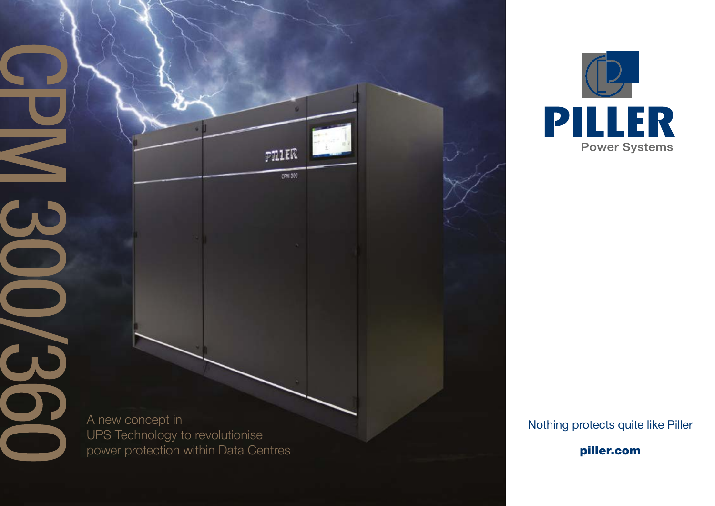



piller.com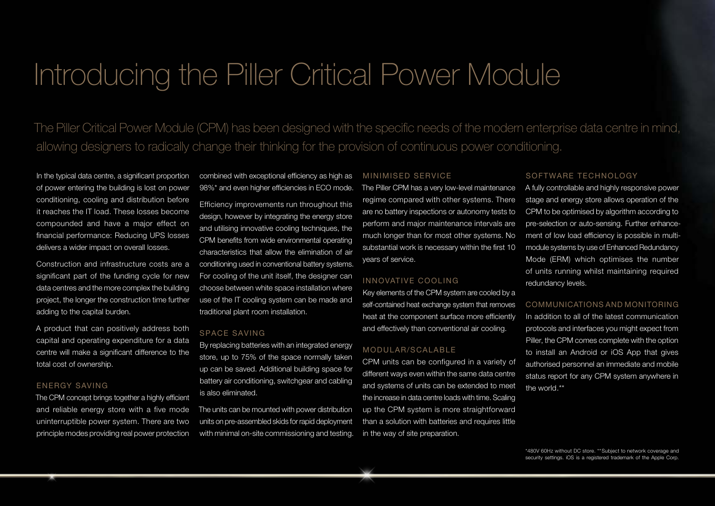# Introducing the Piller Critical Power Module

The Piller Critical Power Module (CPM) has been designed with the specific needs of the modern enterprise data centre in mind, allowing designers to radically change their thinking for the provision of continuous power conditioning.

In the typical data centre, a significant proportion of power entering the building is lost on power conditioning, cooling and distribution before it reaches the IT load. These losses become compounded and have a major effect on financial performance: Reducing UPS losses delivers a wider impact on overall losses.

Construction and infrastructure costs are a significant part of the funding cycle for new data centres and the more complex the building project, the longer the construction time further adding to the capital burden.

A product that can positively address both capital and operating expenditure for a data centre will make a significant difference to the total cost of ownership.

#### ENERGY SAVING

The CPM concept brings together a highly efficient and reliable energy store with a five mode uninterruptible power system. There are two principle modes providing real power protection combined with exceptional efficiency as high as 98%\* and even higher efficiencies in ECO mode.

Efficiency improvements run throughout this design, however by integrating the energy store and utilising innovative cooling techniques, the CPM benefits from wide environmental operating characteristics that allow the elimination of air conditioning used in conventional battery systems. For cooling of the unit itself, the designer can choose between white space installation where use of the IT cooling system can be made and traditional plant room installation.

#### SPACE SAVING

By replacing batteries with an integrated energy store, up to 75% of the space normally taken up can be saved. Additional building space for battery air conditioning, switchgear and cabling is also eliminated.

The units can be mounted with power distribution units on pre-assembled skids for rapid deployment with minimal on-site commissioning and testing.

#### MINIMISED SERVICE

The Piller CPM has a very low-level maintenance regime compared with other systems. There are no battery inspections or autonomy tests to perform and major maintenance intervals are much longer than for most other systems. No substantial work is necessary within the first 10 years of service.

#### INNOVATIVE COOLING

Key elements of the CPM system are cooled by a self-contained heat exchange system that removes heat at the component surface more efficiently and effectively than conventional air cooling.

#### MODULAR/SCALABLE

CPM units can be configured in a variety of different ways even within the same data centre and systems of units can be extended to meet the increase in data centre loads with time. Scaling up the CPM system is more straightforward than a solution with batteries and requires little in the way of site preparation.

#### SOFTWARE TECHNOLOGY

A fully controllable and highly responsive power stage and energy store allows operation of the CPM to be optimised by algorithm according to pre-selection or auto-sensing. Further enhancement of low load efficiency is possible in multimodule systems by use of Enhanced Redundancy Mode (ERM) which optimises the number of units running whilst maintaining required redundancy levels.

#### COMMUNICATIONS AND MONITORING

In addition to all of the latest communication protocols and interfaces you might expect from Piller, the CPM comes complete with the option to install an Android or iOS App that gives authorised personnel an immediate and mobile status report for any CPM system anywhere in the world.\*\*

\*480V 60Hz without DC store. \*\*Subject to network coverage and security settings. iOS is a registered trademark of the Apple Corp.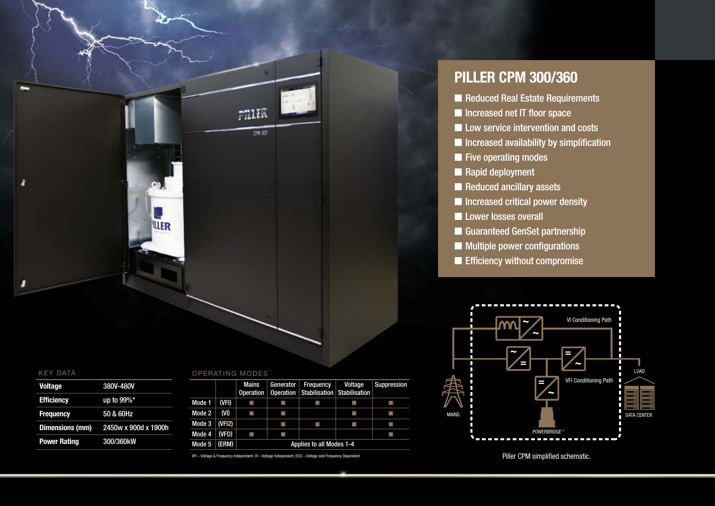#### KEY DATA

| <b>Voltage</b>         | 380V-480V            |
|------------------------|----------------------|
| <b>Efficiency</b>      | up to $99\%$ *       |
| <b>Frequency</b>       | 50 & 60Hz            |
| <b>Dimensions (mm)</b> | 2450w x 900d x 1900h |
| <b>Power Rating</b>    | 300/360kW            |

**ILLER** 

#### OPERATING MODES

PILLER

 $CPN 300$ 

|                    |        | <b>Mains</b><br><b>Operation</b> | Generator<br><b>Operation</b> | <b>Frequency</b> | Voltage<br>Stabilisation Stabilisation | Suppression |  |  |
|--------------------|--------|----------------------------------|-------------------------------|------------------|----------------------------------------|-------------|--|--|
| Mode 1             | (VFI)  |                                  |                               |                  |                                        |             |  |  |
| Mode 2 $\parallel$ | (VI)   |                                  | U                             |                  | ■                                      |             |  |  |
| Mode 3             | (VFI2) |                                  | ■                             |                  |                                        |             |  |  |
| Mode 4             | (VFD)  | ▉                                |                               |                  |                                        |             |  |  |
| Mode 5             | (ERM)  | Applies to all Modes 1-4         |                               |                  |                                        |             |  |  |
|                    |        |                                  |                               |                  |                                        |             |  |  |

VFI – Voltage & Frequency Independent, VI – Voltage Independent, ECO – Voltage and Frequency Dependent.

# PILLER CPM 300/360

- Reduced Real Estate Requirements
- Increased net IT floor space
- $\blacksquare$  Low service intervention and costs
- $\blacksquare$  Increased availability by simplification
- $\blacksquare$  Five operating modes
- Rapid deployment
- $\blacksquare$  Reduced ancillary assets
- $\blacksquare$  Increased critical power density
- **n** Lower losses overall
- Guaranteed GenSet partnership
- $\blacksquare$  Multiple power configurations
- $\blacksquare$  Efficiency without compromise



Piller CPM simplified schematic.